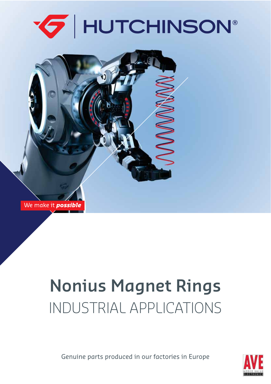



# **NONICTRIAL ADDLICATIONS** INDUSTRIAL APPLICATIONS

Genuine parts produced in our factories in Europe

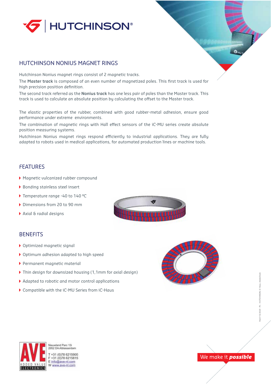

### HUTCHINSON NONIUS MAGNET RINGS

Hutchinson Nonius magnet rings consist of 2 magnetic tracks.

The **Master track** is composed of an even number of magnetized poles. This first track is used for high precision position definition.

The second track referred as the **Nonius track** has one less pair of poles than the Master track. This track is used to calculate an absolute position by calculating the offset to the Master track.

The elastic properties of the rubber, combined with good rubber-metal adhesion, ensure good performance under extreme environments.

The combination of magnetic rings with Hall effect sensors of the iC-MU series create absolute position measuring systems.

Hutchinson Nonius magnet rings respond efficiently to industrial applications. They are fully adapted to robots used in medical applications, for automated production lines or machine tools.

#### FEATURES

- Magnetic vulcanized rubber compound
- ▶ Bonding stainless steel insert
- Temperature range -40 to 140 °C
- Dimensions from 20 to 90 mm
- Axial & radial designs

#### **BENEFITS**

- Optimized magnetic signal
- Optimum adhesion adapted to high speed
- Permanent magnetic material
- Thin design for downsized housing (1,1mm for axial design)
- Adapted to robotic and motor control applications
- Compatible with the iC-MU Series from iC-Haus







Neuwland Parc 13 952 DA Alblasserda +31 (0)78 6215900 F +31 (0)78 6215815 E info@ave-nl.com W www.ave-nl.com

## We make it **possible**

 $\bullet$ <sub>MU</sub>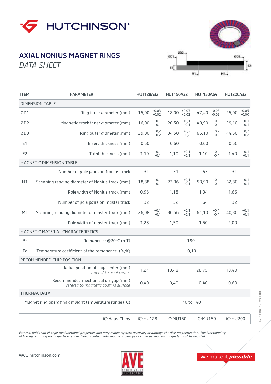

#### **AXIAL NONIUS MAGNET RINGS AXIA CULLET**<br>DATA CULLET *DATA SHEET*



| <b>ITEM</b>                                          | <b>PARAMETER</b>                                                           | <b>HUT128A32</b> |                                  | <b>HUT150A32</b> |                    | <b>HUT150A64</b> |                    | <b>HUT200A32</b> |                    |  |  |  |  |
|------------------------------------------------------|----------------------------------------------------------------------------|------------------|----------------------------------|------------------|--------------------|------------------|--------------------|------------------|--------------------|--|--|--|--|
| <b>DIMENSION TABLE</b>                               |                                                                            |                  |                                  |                  |                    |                  |                    |                  |                    |  |  |  |  |
| ØD1                                                  | Ring inner diameter (mm)                                                   | 15,00            | $+0,03$<br>$-0.02$               | 18,00            | $+0,03$<br>$-0.02$ | 47,40            | $+0,03$<br>$-0.02$ | 25,00            | $+0.05$<br>$-0.00$ |  |  |  |  |
| ØD <sub>2</sub>                                      | Magnetic track inner diameter (mm)                                         | 16,00            | $+0,1$<br>$-0,1$                 | 20,50            | $+0,1$<br>$-0,1$   | 49.90            | $+0,1$<br>$-0.1$   | 29,10            | $+0,1$<br>$-0,1$   |  |  |  |  |
| ØD3                                                  | Ring outer diameter (mm)                                                   | 29,00            | $+0,2$<br>$-0,2$                 | 34,50            | $+0,2$<br>$-0,2$   | 65,10            | $+0,2$<br>$-0.2$   | 44,50            | $+0,2$<br>$-0,2$   |  |  |  |  |
| E1                                                   | Insert thickness (mm)                                                      | 0,60             |                                  | 0,60             |                    | 0,60             |                    | 0,60             |                    |  |  |  |  |
| F <sub>2</sub>                                       | Total thickness (mm)                                                       | 1,10             | $+0,1$<br>$-0.1$                 | 1,10             | $+0,1$<br>$-0.1$   | 1,10             | $+0,1$<br>$-0,1$   | 1,40             | $+0,1$<br>$-0.1$   |  |  |  |  |
| <b>MAGNETIC DIMENSION TABLE</b>                      |                                                                            |                  |                                  |                  |                    |                  |                    |                  |                    |  |  |  |  |
|                                                      | Number of pole pairs on Nonius track                                       | 31               |                                  | 31               |                    | 63               |                    | 31               |                    |  |  |  |  |
| N <sub>1</sub>                                       | Scanning reading diameter of Nonius track (mm)                             | 18,88            | $+0,1$<br>$-0.1$                 | 23,36            | $+0,1$<br>$-0.1$   | 53,90            | $+0,1$<br>$-0.1$   | 32,80            | $+0,1$<br>$-0.1$   |  |  |  |  |
|                                                      | Pole width of Nonius track (mm)                                            | 0,96             |                                  | 1,18             |                    | 1,34             |                    | 1,66             |                    |  |  |  |  |
|                                                      | Number of pole pairs on master track                                       | 32               |                                  | 32               |                    | 64               |                    | 32               |                    |  |  |  |  |
| M1                                                   | Scanning reading diameter of master track (mm)                             | 26,08            | $+0,1$<br>$-0.1$                 | 30,56            | $+0,1$<br>$-0.1$   | 61,10            | $+0,1$<br>$-0.1$   | 40,80            | $+0,1$<br>$-0.1$   |  |  |  |  |
|                                                      | Pole width of master track (mm)                                            | 1.28             |                                  | 1,50             |                    | 1,50             |                    | 2,00             |                    |  |  |  |  |
| <b>MAGNETIC MATERIAL CHARACTERISTICS</b>             |                                                                            |                  |                                  |                  |                    |                  |                    |                  |                    |  |  |  |  |
| Br                                                   | Remanence @20°C (mT)                                                       | 190              |                                  |                  |                    |                  |                    |                  |                    |  |  |  |  |
| Tc                                                   | Temperature coefficient of the remanence (%/K)                             | $-0,19$          |                                  |                  |                    |                  |                    |                  |                    |  |  |  |  |
| RECOMMENDED CHIP POSITION                            |                                                                            |                  |                                  |                  |                    |                  |                    |                  |                    |  |  |  |  |
|                                                      | Radial position of chip center (mm)<br>refered to axial center             | 11,24            |                                  | 13,48            |                    | 28,75            |                    | 18,40            |                    |  |  |  |  |
|                                                      | Recommended mechanical air gap (mm)<br>refered to magnetic coating surface | 0,40             |                                  | 0,40             |                    | 0,40             |                    | 0,60             |                    |  |  |  |  |
| THERMAL DATA                                         |                                                                            |                  |                                  |                  |                    |                  |                    |                  |                    |  |  |  |  |
| Magnet ring operating ambiant temperature range (°C) |                                                                            |                  | $-40$ to $140$                   |                  |                    |                  |                    |                  |                    |  |  |  |  |
| iC-Haus Chips                                        |                                                                            |                  | iC-MU150<br>iC-MU128<br>iC-MU150 |                  |                    | iC-MU200         |                    |                  |                    |  |  |  |  |

*External fields can change the functional properties and may reduce system accuracy or damage the disc magnetization. The functionality of the system may no longer be ensured. Direct contact with magnetic clamps or other permanent magnets must be avoided.*



We make it **possible**